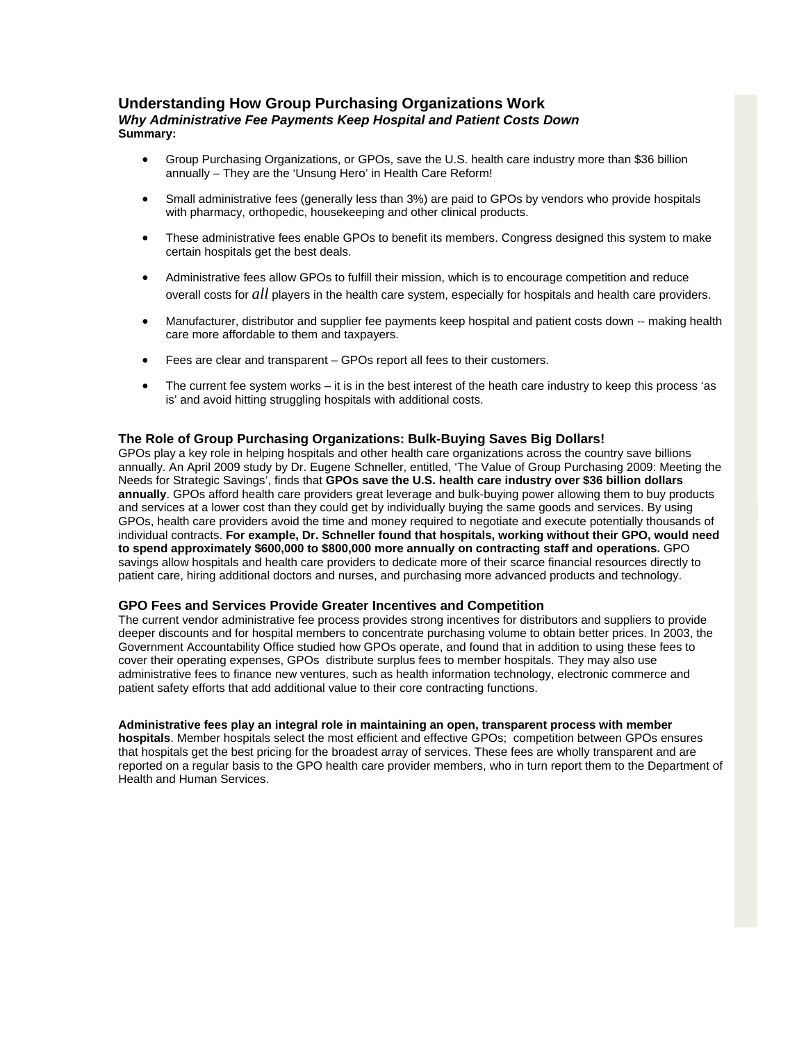# **Understanding How Group Purchasing Organizations Work**

## *Why Administrative Fee Payments Keep Hospital and Patient Costs Down* **Summary:**

- Group Purchasing Organizations, or GPOs, save the U.S. health care industry more than \$36 billion annually – They are the 'Unsung Hero' in Health Care Reform!
- Small administrative fees (generally less than 3%) are paid to GPOs by vendors who provide hospitals with pharmacy, orthopedic, housekeeping and other clinical products.
- These administrative fees enable GPOs to benefit its members. Congress designed this system to make certain hospitals get the best deals.
- Administrative fees allow GPOs to fulfill their mission, which is to encourage competition and reduce overall costs for *all* players in the health care system, especially for hospitals and health care providers.
- Manufacturer, distributor and supplier fee payments keep hospital and patient costs down -- making health care more affordable to them and taxpayers.
- Fees are clear and transparent GPOs report all fees to their customers.
- The current fee system works it is in the best interest of the heath care industry to keep this process 'as is' and avoid hitting struggling hospitals with additional costs.

# **The Role of Group Purchasing Organizations: Bulk-Buying Saves Big Dollars!**

GPOs play a key role in helping hospitals and other health care organizations across the country save billions annually. An April 2009 study by Dr. Eugene Schneller, entitled, 'The Value of Group Purchasing 2009: Meeting the Needs for Strategic Savings', finds that **GPOs save the U.S. health care industry over \$36 billion dollars annually**. GPOs afford health care providers great leverage and bulk-buying power allowing them to buy products and services at a lower cost than they could get by individually buying the same goods and services. By using GPOs, health care providers avoid the time and money required to negotiate and execute potentially thousands of individual contracts. **For example, Dr. Schneller found that hospitals, working without their GPO, would need to spend approximately \$600,000 to \$800,000 more annually on contracting staff and operations.** GPO savings allow hospitals and health care providers to dedicate more of their scarce financial resources directly to patient care, hiring additional doctors and nurses, and purchasing more advanced products and technology.

## **GPO Fees and Services Provide Greater Incentives and Competition**

The current vendor administrative fee process provides strong incentives for distributors and suppliers to provide deeper discounts and for hospital members to concentrate purchasing volume to obtain better prices. In 2003, the Government Accountability Office studied how GPOs operate, and found that in addition to using these fees to cover their operating expenses, GPOs distribute surplus fees to member hospitals. They may also use administrative fees to finance new ventures, such as health information technology, electronic commerce and patient safety efforts that add additional value to their core contracting functions.

#### **Administrative fees play an integral role in maintaining an open, transparent process with member**

**hospitals**. Member hospitals select the most efficient and effective GPOs; competition between GPOs ensures that hospitals get the best pricing for the broadest array of services. These fees are wholly transparent and are reported on a regular basis to the GPO health care provider members, who in turn report them to the Department of Health and Human Services.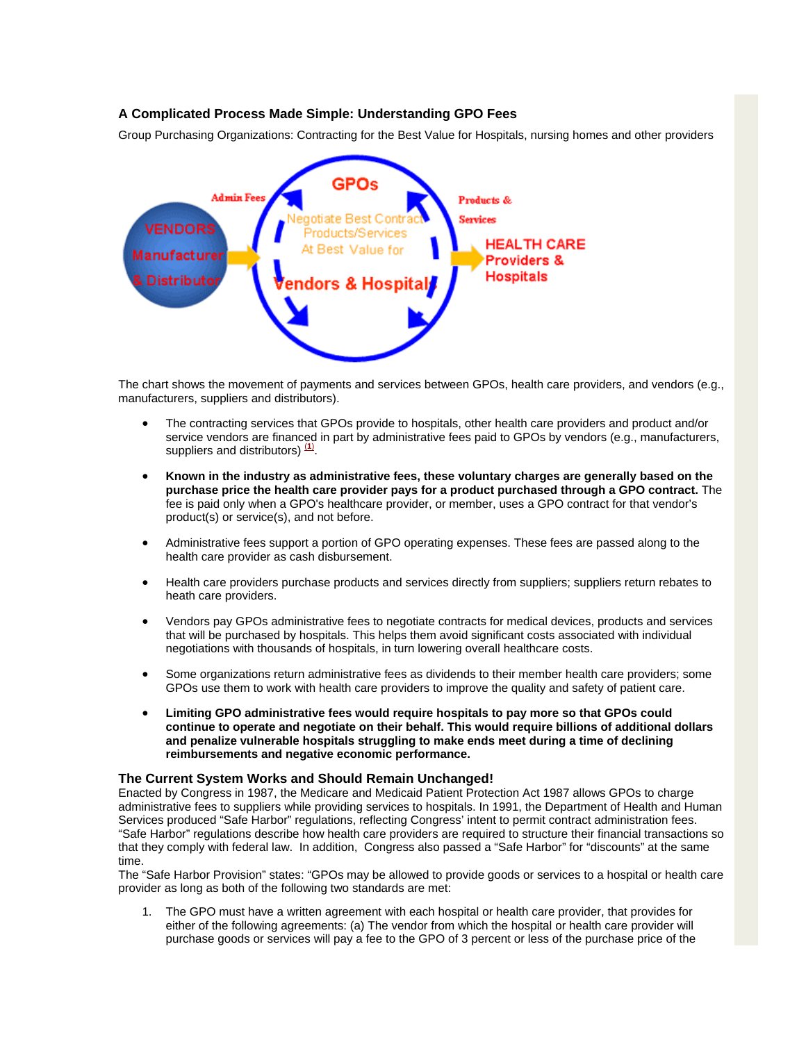# **A Complicated Process Made Simple: Understanding GPO Fees**

Group Purchasing Organizations: Contracting for the Best Value for Hospitals, nursing homes and other providers



The chart shows the movement of payments and services between GPOs, health care providers, and vendors (e.g., manufacturers, suppliers and distributors).

- The contracting services that GPOs provide to hospitals, other health care providers and product and/or service vendors are financed in part by administrative fees paid to GPOs by vendors (e.g., manufacturers, suppliers and distributors)  $\frac{(1)}{(1)}$  $\frac{(1)}{(1)}$  $\frac{(1)}{(1)}$ .
- **Known in the industry as administrative fees, these voluntary charges are generally based on the purchase price the health care provider pays for a product purchased through a GPO contract.** The fee is paid only when a GPO's healthcare provider, or member, uses a GPO contract for that vendor's product(s) or service(s), and not before.
- Administrative fees support a portion of GPO operating expenses. These fees are passed along to the health care provider as cash disbursement.
- Health care providers purchase products and services directly from suppliers; suppliers return rebates to heath care providers.
- Vendors pay GPOs administrative fees to negotiate contracts for medical devices, products and services that will be purchased by hospitals. This helps them avoid significant costs associated with individual negotiations with thousands of hospitals, in turn lowering overall healthcare costs.
- Some organizations return administrative fees as dividends to their member health care providers; some GPOs use them to work with health care providers to improve the quality and safety of patient care.
- **Limiting GPO administrative fees would require hospitals to pay more so that GPOs could continue to operate and negotiate on their behalf. This would require billions of additional dollars and penalize vulnerable hospitals struggling to make ends meet during a time of declining reimbursements and negative economic performance.**

#### **The Current System Works and Should Remain Unchanged!**

Enacted by Congress in 1987, the Medicare and Medicaid Patient Protection Act 1987 allows GPOs to charge administrative fees to suppliers while providing services to hospitals. In 1991, the Department of Health and Human Services produced "Safe Harbor" regulations, reflecting Congress' intent to permit contract administration fees. "Safe Harbor" regulations describe how health care providers are required to structure their financial transactions so that they comply with federal law. In addition, Congress also passed a "Safe Harbor" for "discounts" at the same time.

The "Safe Harbor Provision" states: "GPOs may be allowed to provide goods or services to a hospital or health care provider as long as both of the following two standards are met:

1. The GPO must have a written agreement with each hospital or health care provider, that provides for either of the following agreements: (a) The vendor from which the hospital or health care provider will purchase goods or services will pay a fee to the GPO of 3 percent or less of the purchase price of the